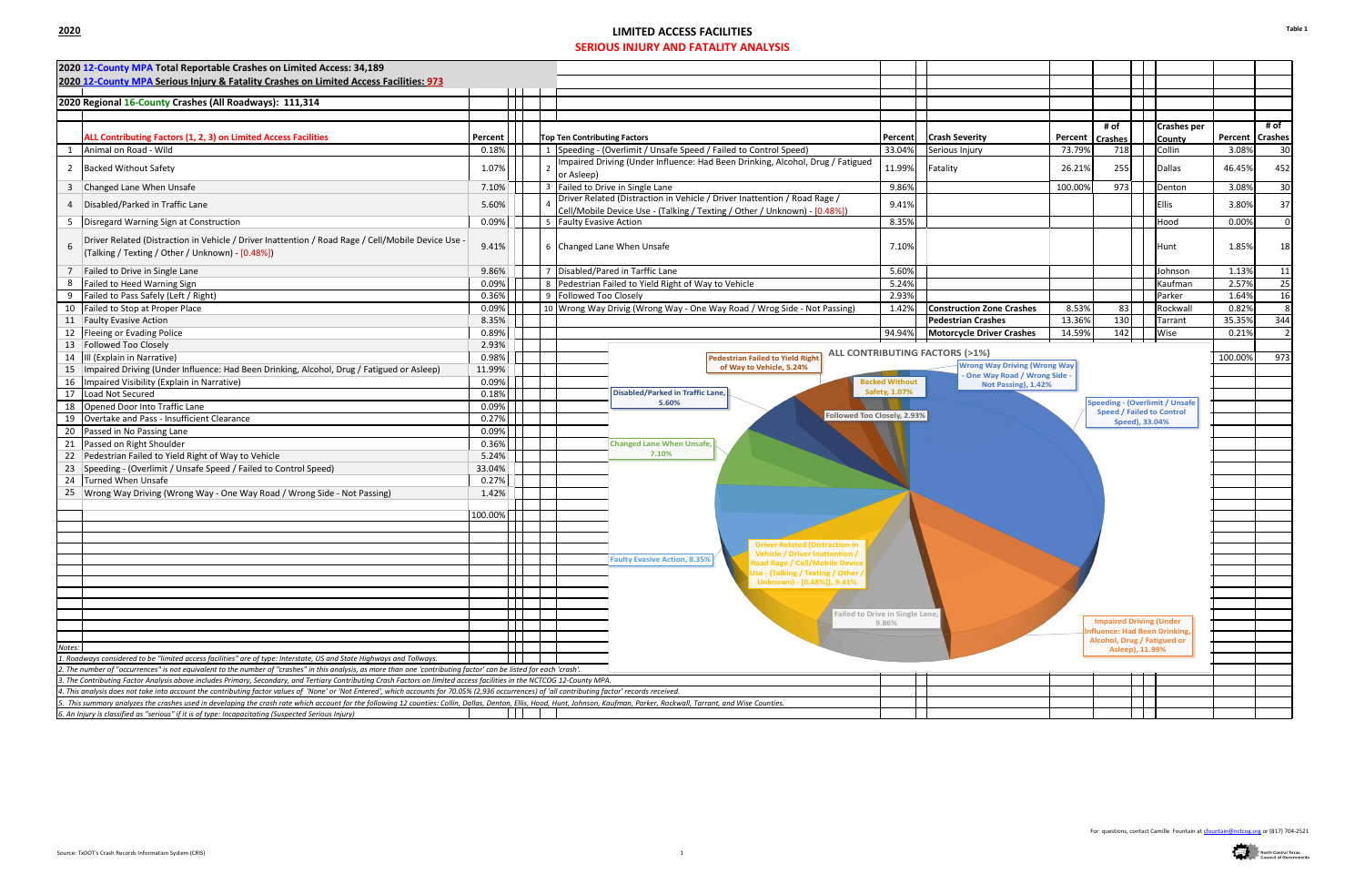## **2020 LIMITED ACCESS FACILITIES SERIOUS INJURY AND FATALITY ANALYSIS**



| 2020 12-County MPA Total Reportable Crashes on Limited Access: 34,189                                                                                                                                                                                                                                                                            |         |                                     |                                                                                |                       |                                                                                  |                   |                                  |                 |                                       |         |                   |
|--------------------------------------------------------------------------------------------------------------------------------------------------------------------------------------------------------------------------------------------------------------------------------------------------------------------------------------------------|---------|-------------------------------------|--------------------------------------------------------------------------------|-----------------------|----------------------------------------------------------------------------------|-------------------|----------------------------------|-----------------|---------------------------------------|---------|-------------------|
| 2020 12-County MPA Serious Injury & Fatality Crashes on Limited Access Facilities: 973                                                                                                                                                                                                                                                           |         |                                     |                                                                                |                       |                                                                                  |                   |                                  |                 |                                       |         |                   |
| 2020 Regional 16-County Crashes (All Roadways): 111,314                                                                                                                                                                                                                                                                                          |         |                                     |                                                                                |                       |                                                                                  |                   |                                  |                 |                                       |         |                   |
|                                                                                                                                                                                                                                                                                                                                                  |         |                                     |                                                                                |                       |                                                                                  |                   |                                  |                 |                                       |         |                   |
|                                                                                                                                                                                                                                                                                                                                                  |         |                                     |                                                                                |                       |                                                                                  |                   | # of                             |                 | <b>Crashes per</b>                    |         | # of              |
| ALL Contributing Factors (1, 2, 3) on Limited Access Facilities                                                                                                                                                                                                                                                                                  | Percent | <b>Top Ten Contributing Factors</b> |                                                                                | Percent               | <b>Crash Severity</b>                                                            | Percent   Crashes |                                  |                 | <b>County</b>                         |         | Percent   Crashes |
| Animal on Road - Wild                                                                                                                                                                                                                                                                                                                            | 0.18%   |                                     | 1   Speeding - (Overlimit / Unsafe Speed / Failed to Control Speed)            |                       | Serious Injury                                                                   | 73.79%            | 718                              |                 | Collin                                | 3.08%   | 30                |
| 2 Backed Without Safety                                                                                                                                                                                                                                                                                                                          | 1.07%   |                                     | Impaired Driving (Under Influence: Had Been Drinking, Alcohol, Drug / Fatigued |                       | Fatality                                                                         | 26.21%            | 255                              |                 | Dallas                                | 46.45%  | 452               |
|                                                                                                                                                                                                                                                                                                                                                  |         | or Asleep)                          |                                                                                | 11.99%                |                                                                                  |                   |                                  |                 |                                       |         |                   |
| 3 Changed Lane When Unsafe                                                                                                                                                                                                                                                                                                                       | 7.10%   |                                     | 3 Failed to Drive in Single Lane                                               | 9.86%                 |                                                                                  | 100.00%           | 973                              |                 | Denton                                | 3.08%   | 30                |
| Disabled/Parked in Traffic Lane                                                                                                                                                                                                                                                                                                                  | 5.60%   |                                     | Driver Related (Distraction in Vehicle / Driver Inattention / Road Rage /      | 9.41%                 |                                                                                  |                   |                                  |                 | <b>Ellis</b>                          | 3.80%   | 37                |
|                                                                                                                                                                                                                                                                                                                                                  |         |                                     | Cell/Mobile Device Use - (Talking / Texting / Other / Unknown) - [0.48%])      | 8.35%                 |                                                                                  |                   |                                  |                 |                                       |         |                   |
| 5   Disregard Warning Sign at Construction                                                                                                                                                                                                                                                                                                       | 0.09%   |                                     | 5 Faulty Evasive Action                                                        |                       |                                                                                  |                   |                                  |                 | Hood                                  | 0.00%   | $\Omega$          |
| Driver Related (Distraction in Vehicle / Driver Inattention / Road Rage / Cell/Mobile Device Use -<br>(Talking / Texting / Other / Unknown) - [0.48%])                                                                                                                                                                                           | 9.41%   |                                     | 6 Changed Lane When Unsafe                                                     | 7.10%                 |                                                                                  |                   |                                  |                 | Hunt                                  | 1.85%   | 18                |
| Failed to Drive in Single Lane                                                                                                                                                                                                                                                                                                                   | 9.86%   |                                     | 7 Disabled/Pared in Tarffic Lane                                               | 5.60%                 |                                                                                  |                   |                                  |                 | Johnson                               | 1.13%   | 11                |
| Failed to Heed Warning Sign                                                                                                                                                                                                                                                                                                                      | 0.09%   |                                     | 8 Pedestrian Failed to Yield Right of Way to Vehicle                           | 5.24%                 |                                                                                  |                   |                                  |                 | Kaufman                               | 2.57%   | 25                |
| Failed to Pass Safely (Left / Right)<br>9                                                                                                                                                                                                                                                                                                        | 0.36%   | 9 Followed Too Closely              |                                                                                | 2.93%                 |                                                                                  |                   |                                  |                 | Parker                                | 1.64%   | <b>16</b>         |
| 10 Failed to Stop at Proper Place                                                                                                                                                                                                                                                                                                                | 0.09%   |                                     | 10 Wrong Way Drivig (Wrong Way - One Way Road / Wrog Side - Not Passing)       | 1.42%                 | <b>Construction Zone Crashes</b>                                                 | 8.53%             | 83                               |                 | Rockwall                              | 0.82%   | 8                 |
| 11 Faulty Evasive Action                                                                                                                                                                                                                                                                                                                         | 8.35%   |                                     |                                                                                |                       | <b>Pedestrian Crashes</b>                                                        | 13.36%            | 130                              |                 | Tarrant                               | 35.35%  | 344               |
| 12 Fleeing or Evading Police                                                                                                                                                                                                                                                                                                                     | 0.89%   |                                     |                                                                                | 94.94%                | <b>Motorcycle Driver Crashes</b>                                                 | 14.59%            | 142                              |                 | Wise                                  | 0.21%   | $\overline{2}$    |
| 13 Followed Too Closely                                                                                                                                                                                                                                                                                                                          | 2.93%   |                                     |                                                                                |                       |                                                                                  |                   |                                  |                 |                                       |         |                   |
| 14 III (Explain in Narrative)                                                                                                                                                                                                                                                                                                                    | 0.98%   |                                     | <b>Pedestrian Failed to Yield Right</b>                                        |                       | <b>ALL CONTRIBUTING FACTORS (&gt;1%)</b><br><b>Wrong Way Driving (Wrong Way)</b> |                   |                                  |                 |                                       | 100.00% | 973               |
| 15 Impaired Driving (Under Influence: Had Been Drinking, Alcohol, Drug / Fatigued or Asleep)                                                                                                                                                                                                                                                     | 11.99%  |                                     | of Way to Vehicle, 5.24%                                                       |                       | One Way Road / Wrong Side -                                                      |                   |                                  |                 |                                       |         |                   |
| 16   Impaired Visibility (Explain in Narrative)                                                                                                                                                                                                                                                                                                  | 0.09%   |                                     |                                                                                | <b>Backed Without</b> | Not Passing), 1.42%                                                              |                   |                                  |                 |                                       |         |                   |
| 17 Load Not Secured                                                                                                                                                                                                                                                                                                                              | 0.18%   |                                     | <b>Disabled/Parked in Traffic Lane,</b><br>5.60%                               | Safety, 1.07%         |                                                                                  |                   |                                  |                 | <b>Speeding - (Overlimit / Unsafe</b> |         |                   |
| 18 Opened Door Into Traffic Lane                                                                                                                                                                                                                                                                                                                 | 0.09%   |                                     | Followed Too Closely, 2.93%                                                    |                       |                                                                                  |                   | <b>Speed / Failed to Control</b> |                 |                                       |         |                   |
| 19 Overtake and Pass - Insufficient Clearance                                                                                                                                                                                                                                                                                                    | 0.27%   |                                     |                                                                                |                       |                                                                                  |                   |                                  | Speed), 33.04%  |                                       |         |                   |
| 20 Passed in No Passing Lane                                                                                                                                                                                                                                                                                                                     | 0.09%   |                                     |                                                                                |                       |                                                                                  |                   |                                  |                 |                                       |         |                   |
| 21 Passed on Right Shoulder                                                                                                                                                                                                                                                                                                                      | 0.36%   |                                     | <b>Changed Lane When Unsafe,</b><br>7.10%                                      |                       |                                                                                  |                   |                                  |                 |                                       |         |                   |
| 22 Pedestrian Failed to Yield Right of Way to Vehicle                                                                                                                                                                                                                                                                                            | 5.24%   |                                     |                                                                                |                       |                                                                                  |                   |                                  |                 |                                       |         |                   |
| 23 Speeding - (Overlimit / Unsafe Speed / Failed to Control Speed)                                                                                                                                                                                                                                                                               | 33.04%  |                                     |                                                                                |                       |                                                                                  |                   |                                  |                 |                                       |         |                   |
| 24 Turned When Unsafe                                                                                                                                                                                                                                                                                                                            | 0.27%   |                                     |                                                                                |                       |                                                                                  |                   |                                  |                 |                                       |         |                   |
| 25 Wrong Way Driving (Wrong Way - One Way Road / Wrong Side - Not Passing)                                                                                                                                                                                                                                                                       | 1.42%   |                                     |                                                                                |                       |                                                                                  |                   |                                  |                 |                                       |         |                   |
|                                                                                                                                                                                                                                                                                                                                                  | 100.00% |                                     |                                                                                |                       |                                                                                  |                   |                                  |                 |                                       |         |                   |
|                                                                                                                                                                                                                                                                                                                                                  |         |                                     |                                                                                |                       |                                                                                  |                   |                                  |                 |                                       |         |                   |
|                                                                                                                                                                                                                                                                                                                                                  |         |                                     |                                                                                |                       |                                                                                  |                   |                                  |                 |                                       |         |                   |
|                                                                                                                                                                                                                                                                                                                                                  |         |                                     | Driver Related (Distraction in<br><b>Vehicle / Driver Inattention</b>          |                       |                                                                                  |                   |                                  |                 |                                       |         |                   |
|                                                                                                                                                                                                                                                                                                                                                  |         |                                     | <b>Faulty Evasive Action, 8.35%</b><br>Road Rage / Cell/Mobile Device          |                       |                                                                                  |                   |                                  |                 |                                       |         |                   |
|                                                                                                                                                                                                                                                                                                                                                  |         |                                     | Use - (Talking / Texting / Other /                                             |                       |                                                                                  |                   |                                  |                 |                                       |         |                   |
|                                                                                                                                                                                                                                                                                                                                                  |         |                                     | Unknown) - [0.48%]), 9.41%                                                     |                       |                                                                                  |                   |                                  |                 |                                       |         |                   |
|                                                                                                                                                                                                                                                                                                                                                  |         |                                     |                                                                                |                       |                                                                                  |                   |                                  |                 |                                       |         |                   |
|                                                                                                                                                                                                                                                                                                                                                  |         |                                     | Failed to Drive in Single Lane,                                                |                       |                                                                                  |                   |                                  |                 |                                       |         |                   |
|                                                                                                                                                                                                                                                                                                                                                  |         |                                     |                                                                                | 9.86%                 |                                                                                  |                   | <b>Impaired Driving (Under</b>   |                 | <b>Ifluence: Had Been Drinking,</b>   |         |                   |
|                                                                                                                                                                                                                                                                                                                                                  |         |                                     |                                                                                |                       |                                                                                  |                   | Alcohol, Drug / Fatigued or      |                 |                                       |         |                   |
| Notes:                                                                                                                                                                                                                                                                                                                                           |         |                                     |                                                                                |                       |                                                                                  |                   |                                  | Asleep), 11.99% |                                       |         |                   |
| l. Roadways considered to be "limited access facilities" are of type: Interstate, US and State Highways and Tollways.                                                                                                                                                                                                                            |         |                                     |                                                                                |                       |                                                                                  |                   |                                  |                 |                                       |         |                   |
| 2. The number of "occurrences" is not equivalent to the number of "crashes" in this analysis, as more than one 'contributing factor' can be listed for each 'crash'.<br>3. The Contributing Factor Analysis above includes Primary, Secondary, and Tertiary Contributing Crash Factors on limited access facilities in the NCTCOG 12-County MPA. |         |                                     |                                                                                |                       |                                                                                  |                   |                                  |                 |                                       |         |                   |
| 4. This analysis does not take into account the contributing factor values of 'None' or 'Not Entered', which accounts for 70.05% (2,936 occurrences) of 'all contributing factor' records received.                                                                                                                                              |         |                                     |                                                                                |                       |                                                                                  |                   |                                  |                 |                                       |         |                   |
| 5. This summary analyzes the crashes used in developing the crash rate which account for the following 12 counties: Collin, Dallas, Denton, Ellis, Hood, Hunt, Johnson, Kaufman, Parker, Rockwall, Tarrant, and Wise Counties.                                                                                                                   |         |                                     |                                                                                |                       |                                                                                  |                   |                                  |                 |                                       |         |                   |
| 6. An Injury is classified as "serious" if it is of type: Incapacitating (Suspected Serious Injury)                                                                                                                                                                                                                                              |         |                                     |                                                                                |                       |                                                                                  |                   |                                  |                 |                                       |         |                   |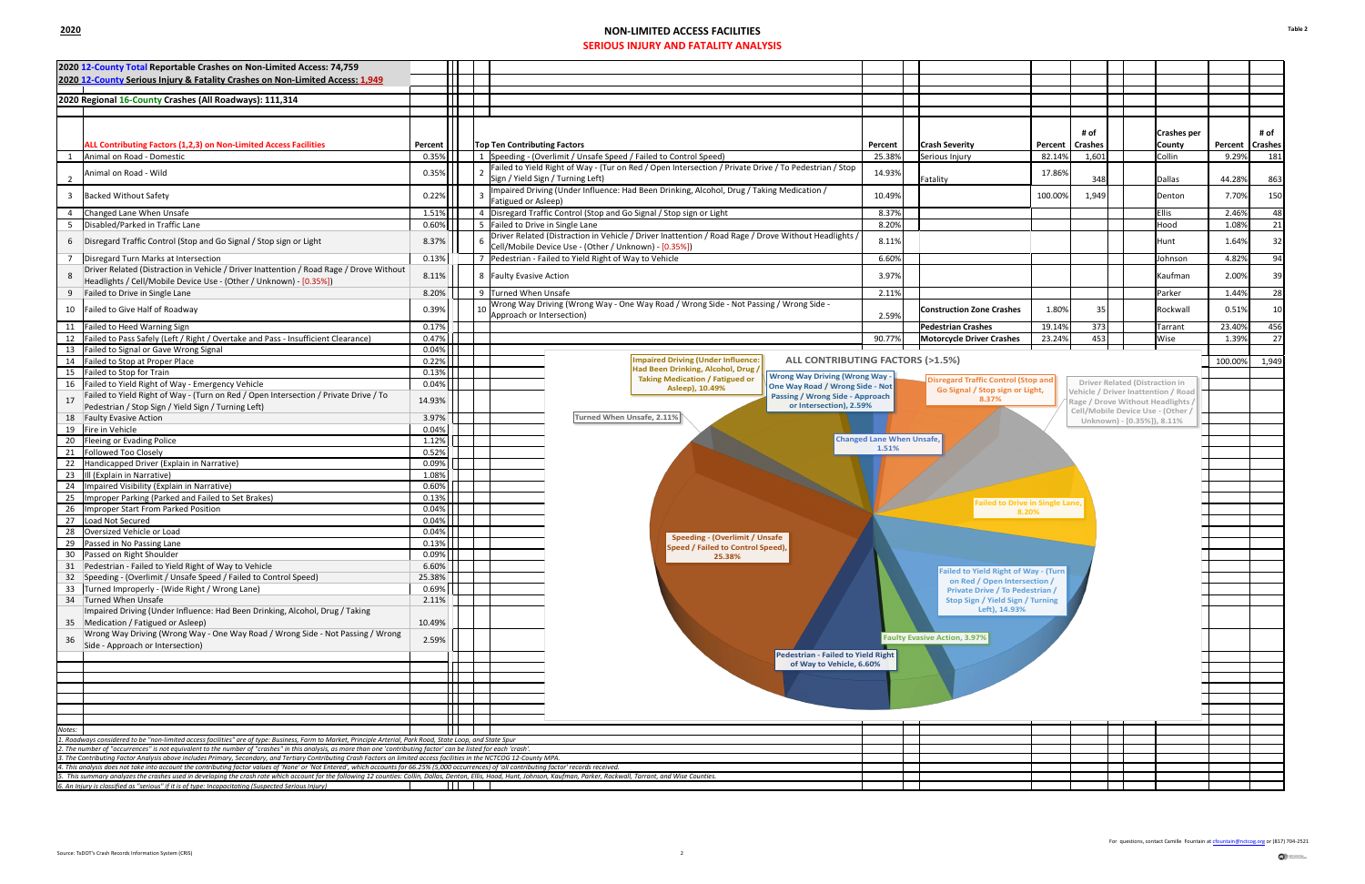## **2020 NON-LIMITED ACCESS FACILITIES SERIOUS INJURY AND FATALITY ANALYSIS**

|        | 2020 12-County Total Reportable Crashes on Non-Limited Access: 74,759                                                                                                                                                                                                                                                           |                |                                                                                                                                                                                                                                                   |                 |                   |  |  |  |  |
|--------|---------------------------------------------------------------------------------------------------------------------------------------------------------------------------------------------------------------------------------------------------------------------------------------------------------------------------------|----------------|---------------------------------------------------------------------------------------------------------------------------------------------------------------------------------------------------------------------------------------------------|-----------------|-------------------|--|--|--|--|
|        | 2020 12-County Serious Injury & Fatality Crashes on Non-Limited Access: 1,949                                                                                                                                                                                                                                                   |                |                                                                                                                                                                                                                                                   |                 |                   |  |  |  |  |
|        |                                                                                                                                                                                                                                                                                                                                 |                |                                                                                                                                                                                                                                                   |                 |                   |  |  |  |  |
|        | 2020 Regional 16-County Crashes (All Roadways): 111,314                                                                                                                                                                                                                                                                         |                |                                                                                                                                                                                                                                                   |                 |                   |  |  |  |  |
|        |                                                                                                                                                                                                                                                                                                                                 |                |                                                                                                                                                                                                                                                   |                 |                   |  |  |  |  |
|        |                                                                                                                                                                                                                                                                                                                                 |                | <b>Crashes per</b><br># of                                                                                                                                                                                                                        |                 | # of              |  |  |  |  |
|        | ALL Contributing Factors (1,2,3) on Non-Limited Access Facilities                                                                                                                                                                                                                                                               | Percent        | <b>Crashes</b><br><b>Top Ten Contributing Factors</b><br><b>Crash Severity</b><br>County<br>Percent<br>Percent                                                                                                                                    |                 | Percent   Crashes |  |  |  |  |
|        | Animal on Road - Domestic                                                                                                                                                                                                                                                                                                       | 0.35%          | 1   Speeding - (Overlimit / Unsafe Speed / Failed to Control Speed)<br>25.38%<br>Serious Injury<br>1,601<br>Collin<br>82.14%                                                                                                                      | 9.29%           | 181               |  |  |  |  |
|        |                                                                                                                                                                                                                                                                                                                                 |                | Failed to Yield Right of Way - (Tur on Red / Open Intersection / Private Drive / To Pedestrian / Stop                                                                                                                                             |                 |                   |  |  |  |  |
|        | Animal on Road - Wild                                                                                                                                                                                                                                                                                                           | 0.35%          | 14.93%<br>17.86%<br>Sign / Yield Sign / Turning Left)<br>348<br>Fatality<br><b>Dallas</b>                                                                                                                                                         | 44.28%          | 863               |  |  |  |  |
|        | 3 Backed Without Safety                                                                                                                                                                                                                                                                                                         | 0.22%          | Impaired Driving (Under Influence: Had Been Drinking, Alcohol, Drug / Taking Medication /<br>10.49%<br>1,949<br>100.00%<br>Denton                                                                                                                 | 7.70%           | 150               |  |  |  |  |
|        |                                                                                                                                                                                                                                                                                                                                 |                | Fatigued or Asleep)                                                                                                                                                                                                                               |                 |                   |  |  |  |  |
|        | 4 Changed Lane When Unsafe                                                                                                                                                                                                                                                                                                      | 1.51%          | 4 Disregard Traffic Control (Stop and Go Signal / Stop sign or Light<br><b>Ellis</b><br>8.37%<br>8.20%<br>Hood                                                                                                                                    | 2.46%           | 48                |  |  |  |  |
|        | 5   Disabled/Parked in Traffic Lane                                                                                                                                                                                                                                                                                             | 0.60%          | 5 Failed to Drive in Single Lane<br>Driver Related (Distraction in Vehicle / Driver Inattention / Road Rage / Drove Without Headlights /                                                                                                          | 1.08%           | 21                |  |  |  |  |
|        | 6 Disregard Traffic Control (Stop and Go Signal / Stop sign or Light                                                                                                                                                                                                                                                            | 8.37%          | 8.11%<br>Hunt<br>Cell/Mobile Device Use - (Other / Unknown) - [0.35%])                                                                                                                                                                            | 1.64%           | 32                |  |  |  |  |
|        | 7   Disregard Turn Marks at Intersection                                                                                                                                                                                                                                                                                        | 0.13%          | 7 Pedestrian - Failed to Yield Right of Way to Vehicle<br>6.60%<br>Johnson                                                                                                                                                                        | 4.82%           | 94                |  |  |  |  |
|        | Driver Related (Distraction in Vehicle / Driver Inattention / Road Rage / Drove Without                                                                                                                                                                                                                                         |                |                                                                                                                                                                                                                                                   |                 |                   |  |  |  |  |
|        | Headlights / Cell/Mobile Device Use - (Other / Unknown) - [0.35%])                                                                                                                                                                                                                                                              | 8.11%          | Kaufman<br>8   Faulty Evasive Action<br>3.97%                                                                                                                                                                                                     | 2.00%           | 39                |  |  |  |  |
|        | 9 Failed to Drive in Single Lane                                                                                                                                                                                                                                                                                                | 8.20%          | 9 Turned When Unsafe<br>2.11%<br>Parker                                                                                                                                                                                                           | 1.44%           | 28                |  |  |  |  |
|        | 10 Failed to Give Half of Roadway                                                                                                                                                                                                                                                                                               | 0.39%          | Wrong Way Driving (Wrong Way - One Way Road / Wrong Side - Not Passing / Wrong Side -<br>1.80%<br>35<br>LO I<br><b>Construction Zone Crashes</b><br>Rockwall                                                                                      | 0.51%           | 10                |  |  |  |  |
|        |                                                                                                                                                                                                                                                                                                                                 |                | Approach or Intersection)<br>2.59%                                                                                                                                                                                                                |                 |                   |  |  |  |  |
|        | 11 Failed to Heed Warning Sign<br>12   Failed to Pass Safely (Left / Right / Overtake and Pass - Insufficient Clearance)                                                                                                                                                                                                        | 0.17%<br>0.47% | 373<br>19.14%<br><b>Pedestrian Crashes</b><br>Tarrant<br>453<br>23.24%<br>Wise<br>90.77%<br><b>Motorcycle Driver Crashes</b>                                                                                                                      | 23.40%<br>1.39% | 456<br>27         |  |  |  |  |
|        | 13 Failed to Signal or Gave Wrong Signal                                                                                                                                                                                                                                                                                        | 0.04%          |                                                                                                                                                                                                                                                   |                 |                   |  |  |  |  |
|        | 14 Failed to Stop at Proper Place                                                                                                                                                                                                                                                                                               | 0.22%          | <b>Impaired Driving (Under Influence:</b><br><b>ALL CONTRIBUTING FACTORS (&gt;1.5%)</b>                                                                                                                                                           | 100.00%         | 1,949             |  |  |  |  |
|        | 15 Failed to Stop for Train                                                                                                                                                                                                                                                                                                     | 0.13%          | Had Been Drinking, Alcohol, Drug /                                                                                                                                                                                                                |                 |                   |  |  |  |  |
|        | 16   Failed to Yield Right of Way - Emergency Vehicle                                                                                                                                                                                                                                                                           | 0.04%          | <b>Wrong Way Driving (Wrong Way -</b><br><b>Taking Medication / Fatigued or</b><br>Disregard Traffic Control (Stop and<br>Driver Related (Distraction in<br>One Way Road / Wrong Side - Not<br>Asleep), 10.49%<br>Go Signal / Stop sign or Light, |                 |                   |  |  |  |  |
|        | Failed to Yield Right of Way - (Turn on Red / Open Intersection / Private Drive / To                                                                                                                                                                                                                                            | 14.93%         | Vehicle / Driver Inattention / Road<br><b>Passing / Wrong Side - Approach</b><br>8.37%<br>Rage / Drove Without Headlights /                                                                                                                       |                 |                   |  |  |  |  |
|        | Pedestrian / Stop Sign / Yield Sign / Turning Left)                                                                                                                                                                                                                                                                             |                | or Intersection), 2.59%<br>Cell/Mobile Device Use - (Other /                                                                                                                                                                                      |                 |                   |  |  |  |  |
|        | 18 Faulty Evasive Action                                                                                                                                                                                                                                                                                                        | 3.97%          | Turned When Unsafe, 2.11%<br>Unknown) - [0.35%]), 8.11%                                                                                                                                                                                           |                 |                   |  |  |  |  |
|        | 19 Fire in Vehicle                                                                                                                                                                                                                                                                                                              | 0.04%          | <b>Changed Lane When Unsafe,</b>                                                                                                                                                                                                                  |                 |                   |  |  |  |  |
|        | 20   Fleeing or Evading Police<br>21 Followed Too Closely                                                                                                                                                                                                                                                                       | 1.12%<br>0.52% | 1.51%                                                                                                                                                                                                                                             |                 |                   |  |  |  |  |
|        | 22 Handicapped Driver (Explain in Narrative)                                                                                                                                                                                                                                                                                    | 0.09%          |                                                                                                                                                                                                                                                   |                 |                   |  |  |  |  |
|        | 23   Ill (Explain in Narrative)                                                                                                                                                                                                                                                                                                 | 1.08%          |                                                                                                                                                                                                                                                   |                 |                   |  |  |  |  |
|        | 24   Impaired Visibility (Explain in Narrative)                                                                                                                                                                                                                                                                                 | 0.60%          |                                                                                                                                                                                                                                                   |                 |                   |  |  |  |  |
|        | 25   Improper Parking (Parked and Failed to Set Brakes)                                                                                                                                                                                                                                                                         | 0.13%          | <b>Failed to Drive in Single Lane,</b>                                                                                                                                                                                                            |                 |                   |  |  |  |  |
|        | 26   Improper Start From Parked Position                                                                                                                                                                                                                                                                                        | 0.04%          | 8.20%                                                                                                                                                                                                                                             |                 |                   |  |  |  |  |
|        | 27 Load Not Secured                                                                                                                                                                                                                                                                                                             | 0.04%          |                                                                                                                                                                                                                                                   |                 |                   |  |  |  |  |
|        | 28 Oversized Vehicle or Load<br>29 Passed in No Passing Lane                                                                                                                                                                                                                                                                    | 0.04%          | <b>Speeding - (Overlimit / Unsafe</b>                                                                                                                                                                                                             |                 |                   |  |  |  |  |
|        | 30 Passed on Right Shoulder                                                                                                                                                                                                                                                                                                     | 0.13%<br>0.09% | Speed / Failed to Control Speed),                                                                                                                                                                                                                 |                 |                   |  |  |  |  |
|        | 31 Pedestrian - Failed to Yield Right of Way to Vehicle                                                                                                                                                                                                                                                                         | 6.60%          | 25.38%                                                                                                                                                                                                                                            |                 |                   |  |  |  |  |
|        | 32 Speeding - (Overlimit / Unsafe Speed / Failed to Control Speed)                                                                                                                                                                                                                                                              | 25.38%         | <b>Failed to Yield Right of Way - (Turn</b><br>on Red / Open Intersection /                                                                                                                                                                       |                 |                   |  |  |  |  |
|        | 33 Turned Improperly - (Wide Right / Wrong Lane)                                                                                                                                                                                                                                                                                | 0.69%          | <b>Private Drive / To Pedestrian /</b>                                                                                                                                                                                                            |                 |                   |  |  |  |  |
|        | 34 Turned When Unsafe                                                                                                                                                                                                                                                                                                           | 2.11%          | Stop Sign / Yield Sign / Turning                                                                                                                                                                                                                  |                 |                   |  |  |  |  |
|        | Impaired Driving (Under Influence: Had Been Drinking, Alcohol, Drug / Taking                                                                                                                                                                                                                                                    |                | Left), 14.93%                                                                                                                                                                                                                                     |                 |                   |  |  |  |  |
|        | 35 Medication / Fatigued or Asleep)                                                                                                                                                                                                                                                                                             | 10.49%         |                                                                                                                                                                                                                                                   |                 |                   |  |  |  |  |
| 36     | Wrong Way Driving (Wrong Way - One Way Road / Wrong Side - Not Passing / Wrong<br>Side - Approach or Intersection)                                                                                                                                                                                                              | 2.59%          | <b>Faulty Evasive Action, 3.97%</b>                                                                                                                                                                                                               |                 |                   |  |  |  |  |
|        |                                                                                                                                                                                                                                                                                                                                 |                | <b>Pedestrian - Failed to Yield Right</b>                                                                                                                                                                                                         |                 |                   |  |  |  |  |
|        |                                                                                                                                                                                                                                                                                                                                 |                | of Way to Vehicle, 6.60%                                                                                                                                                                                                                          |                 |                   |  |  |  |  |
|        |                                                                                                                                                                                                                                                                                                                                 |                |                                                                                                                                                                                                                                                   |                 |                   |  |  |  |  |
|        |                                                                                                                                                                                                                                                                                                                                 |                |                                                                                                                                                                                                                                                   |                 |                   |  |  |  |  |
|        |                                                                                                                                                                                                                                                                                                                                 |                |                                                                                                                                                                                                                                                   |                 |                   |  |  |  |  |
|        |                                                                                                                                                                                                                                                                                                                                 |                |                                                                                                                                                                                                                                                   |                 |                   |  |  |  |  |
| Votes: |                                                                                                                                                                                                                                                                                                                                 |                |                                                                                                                                                                                                                                                   |                 |                   |  |  |  |  |
|        | Roadways considered to be "non-limited access facilities" are of type: Business, Farm to Market, Principle Arterial, Park Road, State Loop, and State Spur<br>The number of "occurrences" is not equivalent to the number of "crashes" in this analysis, as more than one 'contributing factor' can be listed for each 'crash'. |                |                                                                                                                                                                                                                                                   |                 |                   |  |  |  |  |
|        | The Contributing Factor Analysis above includes Primary, Secondary, and Tertiary Contributing Crash Factors on limited access facilities in the NCTCOG 12-County MPA.                                                                                                                                                           |                |                                                                                                                                                                                                                                                   |                 |                   |  |  |  |  |
|        | This analysis does not take into account the contributing factor values of 'None' or 'Not Entered', which accounts for 66.25% (5,000 occurrences) of 'all contributing factor' records received.                                                                                                                                |                |                                                                                                                                                                                                                                                   |                 |                   |  |  |  |  |
|        | This summary analyzes the crashes used in developing the crash rate which account for the following 12 counties: Collin, Dallas, Denton, Ellis, Hood, Hunt, Johnson, Kaufman, Parker, Rockwall, Tarrant, and Wise Counties.<br>An Injury is classified as "serious" if it is of type: Incapacitating (Suspected Serious Injury) |                |                                                                                                                                                                                                                                                   |                 |                   |  |  |  |  |
|        |                                                                                                                                                                                                                                                                                                                                 |                |                                                                                                                                                                                                                                                   |                 |                   |  |  |  |  |